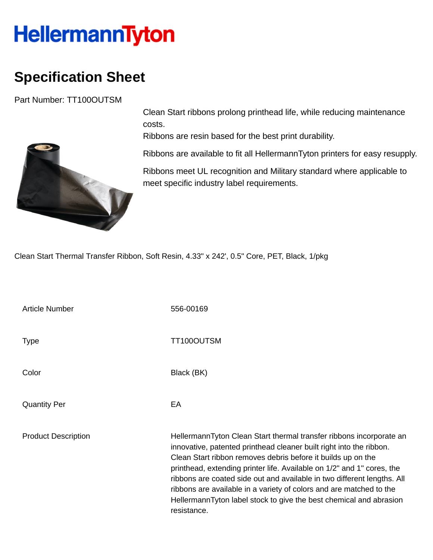## **HellermannTyton**

## **Specification Sheet**

Part Number: TT100OUTSM



Clean Start ribbons prolong printhead life, while reducing maintenance costs.

Ribbons are resin based for the best print durability.

Ribbons are available to fit all HellermannTyton printers for easy resupply.

Ribbons meet UL recognition and Military standard where applicable to meet specific industry label requirements.

Clean Start Thermal Transfer Ribbon, Soft Resin, 4.33" x 242', 0.5" Core, PET, Black, 1/pkg

Article Number 556-00169 Type Type TT100OUTSM Color Black (BK) Quantity Per **EA** Product Description **HellermannTyton Clean Start thermal transfer ribbons incorporate an** innovative, patented printhead cleaner built right into the ribbon. Clean Start ribbon removes debris before it builds up on the printhead, extending printer life. Available on 1/2" and 1" cores, the ribbons are coated side out and available in two different lengths. All ribbons are available in a variety of colors and are matched to the HellermannTyton label stock to give the best chemical and abrasion resistance.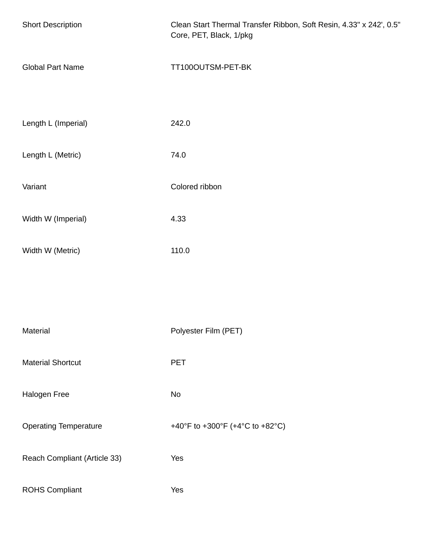| <b>Short Description</b>     | Clean Start Thermal Transfer Ribbon, Soft Resin, 4.33" x 242', 0.5"<br>Core, PET, Black, 1/pkg |
|------------------------------|------------------------------------------------------------------------------------------------|
| <b>Global Part Name</b>      | TT100OUTSM-PET-BK                                                                              |
| Length L (Imperial)          | 242.0                                                                                          |
| Length L (Metric)            | 74.0                                                                                           |
| Variant                      | Colored ribbon                                                                                 |
| Width W (Imperial)           | 4.33                                                                                           |
| Width W (Metric)             | 110.0                                                                                          |
|                              |                                                                                                |
| Material                     | Polyester Film (PET)                                                                           |
| <b>Material Shortcut</b>     | <b>PET</b>                                                                                     |
| Halogen Free                 | No                                                                                             |
| <b>Operating Temperature</b> | +40°F to +300°F (+4°C to +82°C)                                                                |
| Reach Compliant (Article 33) | Yes                                                                                            |
| <b>ROHS Compliant</b>        | Yes                                                                                            |